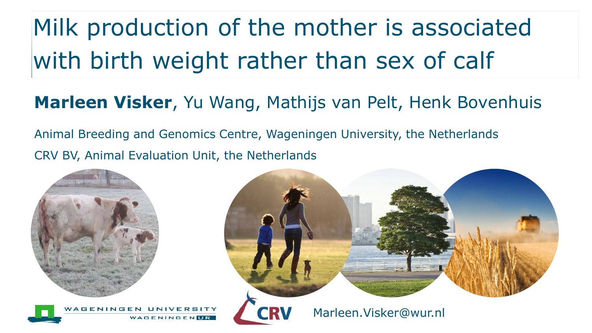# Milk production of the mother is associated with birth weight rather than sex of calf

#### **Marleen Visker**, Yu Wang, Mathijs van Pelt, Henk Bovenhuis

Animal Breeding and Genomics Centre, Wageningen University, the Netherlands CRV BV, Animal Evaluation Unit, the Netherlands



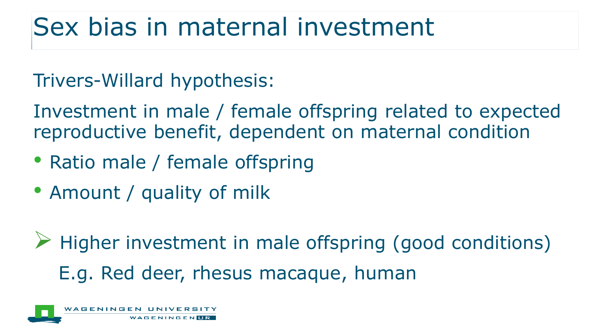# Sex bias in maternal investment

#### Trivers-Willard hypothesis:

Investment in male / female offspring related to expected reproductive benefit, dependent on maternal condition

- Ratio male / female offspring
- Amount / quality of milk

 $\triangleright$  Higher investment in male offspring (good conditions) E.g. Red deer, rhesus macaque, human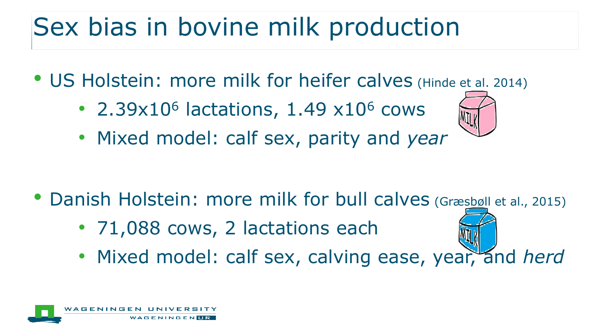# Sex bias in bovine milk production

- US Holstein: more milk for heifer calves (Hinde et al. 2014)
	- 2.39 $x10^6$  lactations, 1.49  $x10^6$  cows
	- Mixed model: calf sex, parity and *year*

- Danish Holstein: more milk for bull calves (Græsbøll et al., 2015)
	- 71,088 cows, 2 lactations each
	- Mixed model: calf sex, calving ease, year, and *herd*

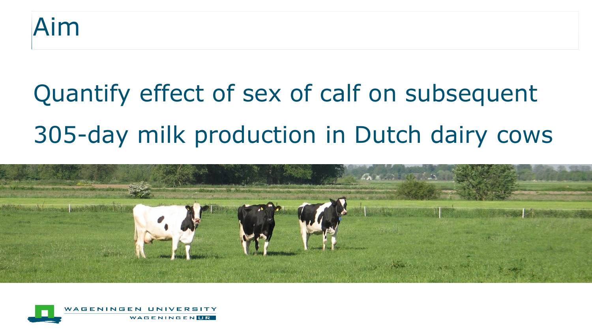

# Quantify effect of sex of calf on subsequent 305-day milk production in Dutch dairy cows



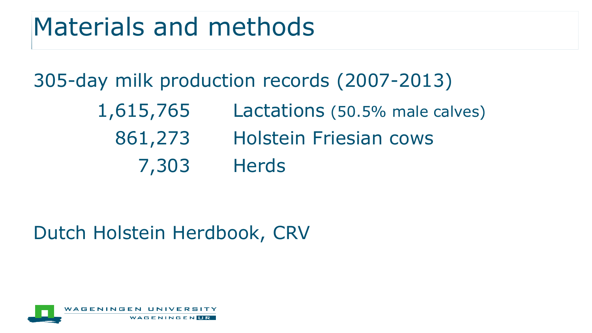### Materials and methods

#### 305-day milk production records (2007-2013)

- 1,615,765 Lactations (50.5% male calves)
- 861,273 Holstein Friesian cows
	- 7,303 Herds

#### Dutch Holstein Herdbook, CRV

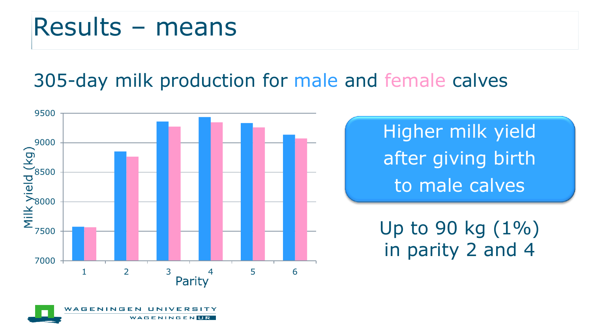### Results – means

**AGENINGE** 

#### 305-day milk production for male and female calves



GENUR

Higher milk yield after giving birth to male calves

Up to 90 kg  $(1\%)$ in parity 2 and 4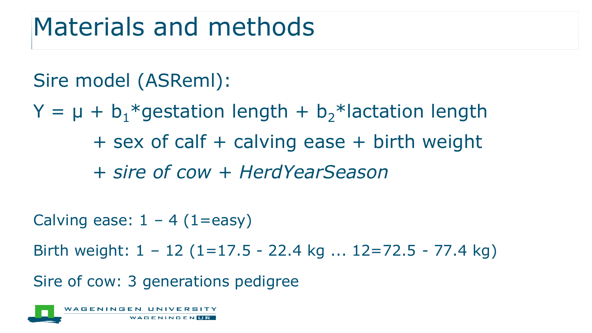### Materials and methods

#### Sire model (ASReml):

 $Y = \mu + b_1*$  gestation length + b<sub>2</sub>\* lactation length + sex of calf + calving ease + birth weight + *sire of cow* + *HerdYearSeason*

Calving ease:  $1 - 4$  (1=easy)

Birth weight:  $1 - 12$  (1=17.5 - 22.4 kg ... 12=72.5 - 77.4 kg)

Sire of cow: 3 generations pedigree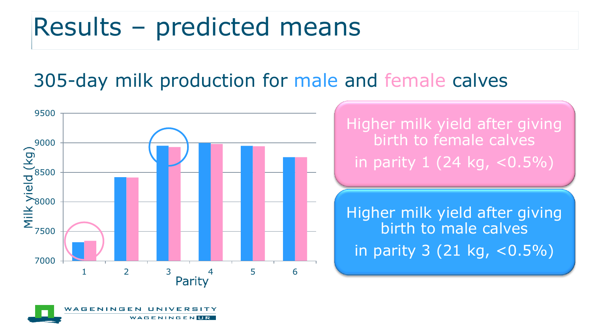### Results – predicted means

#### 305-day milk production for male and female calves



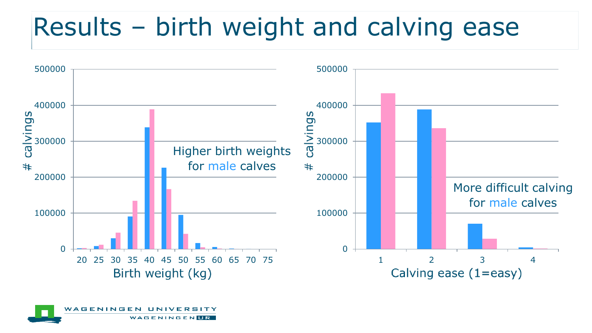# Results – birth weight and calving ease



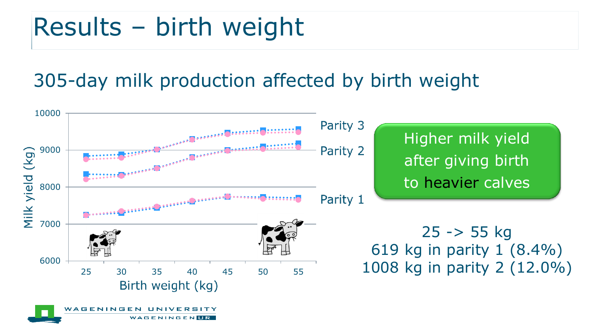# Results – birth weight

#### 305-day milk production affected by birth weight

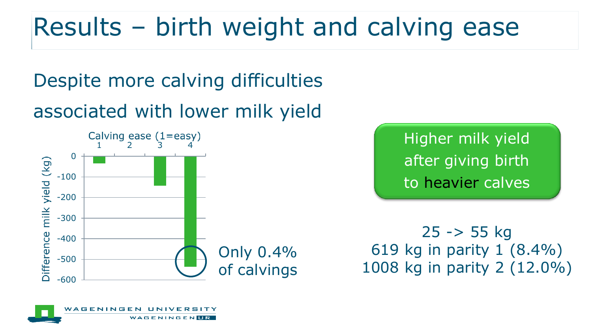# Results – birth weight and calving ease

Despite more calving difficulties associated with lower milk yield



Higher milk yield after giving birth to heavier calves

25 -> 55 kg 619 kg in parity 1 (8.4%) 1008 kg in parity 2 (12.0%)